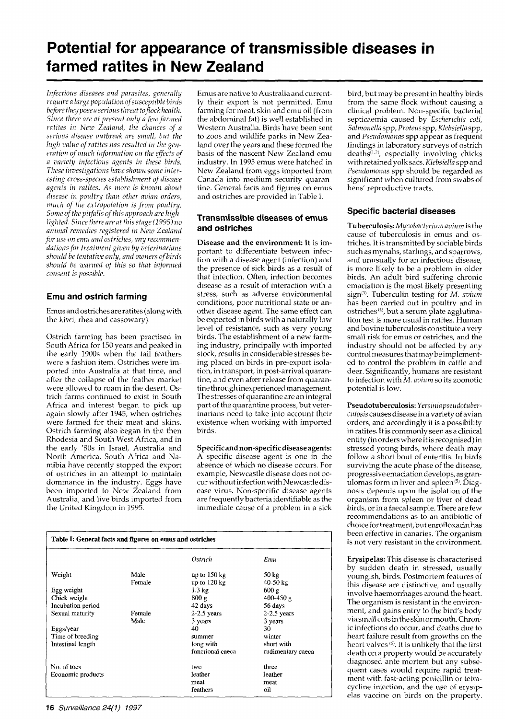# **Potential for appearance of transmissible diseases in farmed ratites in New Zealand**

*Infectious diseases and parasites, generally require a large* population ofsusceptible bids before they pose a serious threat to flock health. *Since there are at present only a jewfarmed ratites* in Neu *Zealand, the chances of <sup>A</sup> serious disease outbreak are small, but the high value of ratites has resulted in the generation of much information on the effects* of *a variety infectious agents in these birds. These inuestigations have shown some' inferesting cross-species establishment* of *disease agents in ratites. As more is* known nbouf *disease* in poultry *than other avian orders,*  much of the extrapolation is from poultry. *Some of the pitfalls of* this *approach are highlighted. Since there areat this stage (2995) no*  animal remedies registered in New Zealand *for use on emu and ostriches, any recommendafioris for treatment given by oeteriiiarians should be tentative ody, and ozwers* of *birds*  should be warned of this so that informed  $consent$  *is possible.* 

# **Emu and ostrich farming**

Emus andostriches are ratites(alongwith the kiwi, rhea and cassowary).

Ostrich farming has been practised in South Africa for 150 years and peaked in the early 1900s when the tail feathers were a fashion item. Ostriches were imported into Australia at that time, and after the collapse of the feather market were allowed to roam in the desert. *Os*trich farms continued to exist in South Africa and interest began to pick up again slowly after 1945, when ostriches were farmed for their meat and skins. Ostrich farming also began in the then Rhodesia and South West Africa, and in the early '80s in Israel, Australia and North America. South Africa and Namibia have recently stopped the export of ostriches in an attempt to maintain dominance in the industry. Eggs have been imported to New Zealand from Australia, and live birds imported from the United Kingdom in 1995.

Emus are native to Australiaandcurrently their export is not permitted. Emu farming for meat, skin and emu oil (from the abdominal fat) is well established in Western Australia. Birds have been sent to *zoos* and wildlife parks in New Zealand over the years and these formed the basis of the nascent New Zealand emu industry. In 1995 emus were hatched in New Zealand from eggs imported from Canada into medium security quarantine. General facts and figures on emus and ostriches are provided in Table I.

## **Transmissible diseases of emus and ostriches**

Disease and the environment: It is important to differentiate between infection with a disease agent (infection) and the presence of sick birds as a result of that infection. Often, infection becomes disease as a result of interaction with a stress, such as adverse environmental conditions, poor nutritional state or another disease agent. The same effect can be expected in birds with a naturally low level of resistance, such as very young birds. The establishment of a new farming industry, principally with imported stock, results in considerable stresses being placed on birds in pre-export isolation, in transport, in post-arrival quarantine, and even after release from quarantine through inexperienced management. The stresses of quarantine are an integral part of the quarantine process, but veterinarians need to take into account their existence when working with imported birds.

Specific **and** non-specific disease agents: A specific disease agent is one in the absence of which no disease occurs. For example, Newcastle disease does not occur without infection with Newcas tle disease virus. Non-specific disease agents are frequently bacteria identifiable as the immediate cause of a problem in a sick

| Table I: General facts and figures on emus and ostriches                                                                           |                                  |                                                                                                                                                               |                                                                                                                                       |
|------------------------------------------------------------------------------------------------------------------------------------|----------------------------------|---------------------------------------------------------------------------------------------------------------------------------------------------------------|---------------------------------------------------------------------------------------------------------------------------------------|
|                                                                                                                                    |                                  | Ostrich                                                                                                                                                       | Emu                                                                                                                                   |
| Weight<br>Egg weight<br>Chick weight<br>Incubation period<br>Sexual maturity<br>Eggs/year<br>Time of breeding<br>Intestinal length | Male<br>Female<br>Female<br>Male | up to $150 \text{ kg}$<br>up to $120 \text{ kg}$<br>$1.3$ kg<br>800g<br>42 days<br>$2-2.5$ years<br>3 years<br>40.<br>summer<br>long with<br>functional caeca | 50 kg<br>40-50 kg<br>600 g<br>$400 - 450$ g<br>56 days<br>$2-2.5$ years<br>3 years<br>30<br>winter<br>short with<br>rudimentary caeca |
| No. of toes<br>Economic products                                                                                                   |                                  | two<br>leather<br>meat<br>feathers                                                                                                                            | three<br>leather<br>meat<br>oil                                                                                                       |

bird, but may be present in healthy birds from the same flock without causing a clinical problem. Non-specific bacteria1 septicaemia caused by *Escherichin coli, Salmonella* spp, *Proteus* spp, *Klebsiella* spp, and *Pseudomonas* spp appear as frequent findings in laboratory surveys of ostrich  $deaths<sup>(1,2)</sup>$ , especially involving chicks withretained yolksacs. *Klebsiella* sppand Pseudomonas spp should be regarded as significant when cultured from swabs of hens' reproductive tracts.

#### **Specific bacterial diseases**

Tuberculosis: *Mycobacterium avium* is the cause of tuberculosis in emus and ostriches. It is transmitted by sociable birds such as mynahs, starlings, and sparrows, and unusually for an infectious disease, is more likely to be a problem in older birds. An adult bird suffering chronic emaciation is the most likely presenting sign<sup>(3)</sup>. Tuberculin testing for *M. avium* has been carried out in poultry and in ostriches (4), but a serum plate agglutination test is more usual in ratites. Human and bovine tuberculosis constitute **a** very small risk for emus or ostriches, and the industry should not be affected by any control measures that may be implemented to control the problem in cattle and deer. Significantly, humans are resistant to infection with M. *azjium* so its zoonotic potential is low.

Pseudotuberculosis: Yersinia pseudotuberculosis causes disease in a variety of avian orders, and accordingly it is a possibility in ratites. It is commonly seen as a clinical entity (inorders where it is recognised) in stressed young birds, where death may follow a short bout of enteritis. In birds surviving the acute phase of the disease, progressive emaciation develops, **as** granulomas form in liver and spleen<sup>(5)</sup>. Diagnosis depends upon the isolation of the organism from spleen or liver of dead birds, or in a faecal sample. There are few recommendations as to an antibiotic of choice for treatment, but enrofloxacinhas been effective in canaries. The organism is not very resistant in the environment.

Erysipelas: This disease is characterised by sudden death in stressed, usually youngish, birds. Postmortem features of this disease are distinctive, and usually involve haemorrhages around the heart. The organism is resistant in the environment, and gains entry to the bird's body viasmall cutsintheskinormouth. Chronic infections *do* occur, and deaths due to heart failure result from growths on the heart valves **(6).** It is unlikely that the first death on a property would be accurately diagnosed ante mortem but any subsequent cases would require rapid treatment with fast-acting penicillin or tetracycline injection, and the use of erysipelas vaccine on birds on the property.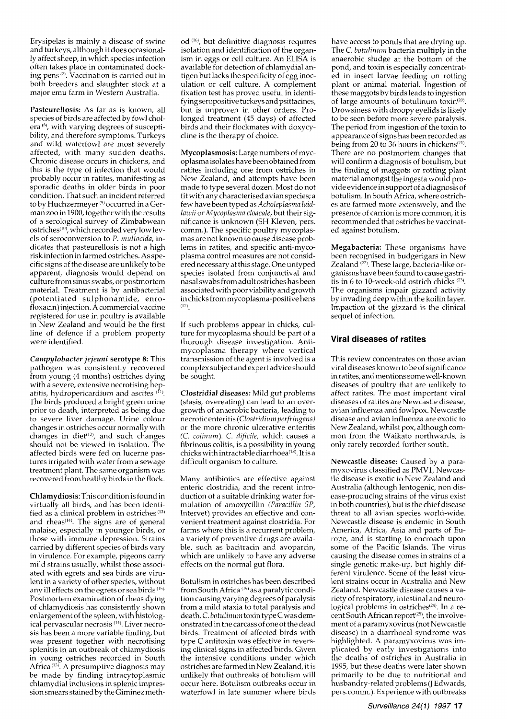Erysipelas is mainly a disease of swine and turkeys, although it does occasionally affect sheep, in which species infection often takes place in contaminated docking pens $(7)$ . Vaccination is carried out in both breeders and slaughter stock at a major emu farm in Western Australia.

**Pasteurellosis:** As far as is known, all species of birds are affected by fowl cholera $^{(8)}$ , with varying degrees of susceptibility, and therefore symptoms. Turkeys and wild waterfowl are most severely affected, with many sudden deaths. Chronic disease occurs in chickens, and this is the type of infection that would probably occur in ratites, manifesting as sporadic deaths in older birds in poor condition. That such an incident referred to by Huchzermeyer<sup>(9)</sup> occurred in a German zoo in 1900, together with the results of a serological survey of Zimbabwean ostriches $(10)$ , which recorded very low levels of seroconversion to *P. multocida,* indicates that pasteurellosis is not a high risk infection in farmed ostriches. As specific signs of the disease are unlikely to be apparent, diagnosis would depend on culture from sinus swabs, or postmortem material. Treatment is by antibacterial (potentiated sulphonamide, enrofloxacin) injection. A commercial vaccine registered for use in poultry is available in New Zealand and would be the first line of defence if a problem property were identified.

*Campylobacter jejeuni* **serotype** *8:* This pathogen was consistently recovered from young (4 months) ostriches dying with a severe, extensive necrotising hepatitis, hydropericardium and ascites (11). The birds produced a bright green urine prior to death, interpreted as being due to severe liver damage. Urine colour changes in ostriches occur normally with changes in diet $(12)$ , and such changes should not be viewed in isolation. The affected birds were fed on lucerne pastures irrigated with water from a sewage treatment plant. The same organism was recovered from healthy birds in the flock.

**Chlamydiosis:** This conditionis found in virtually all birds, and has been identified as a clinical problem in ostriches *('3*  and rheas $(14)$ . The signs are of general malaise, especially in younger birds, or those with immune depression. Strains carried by different species of birds vary in virulence. For example, pigeons carry mild strains usually, whilst those associated with egrets and sea birds are virulent in a variety of other species, without any ill effects on the egrets or sea birds (15). Postmortem examination of rheas dying of chlamydiosis has consistently shown enlargement of the spleen, with histological pervascular necrosis<sup>(14)</sup>. Liver necrosis has been a more variable finding, but was present together with necrotising splenitis in an outbreak of chlamydiosis in young ostriches recorded in South Africa<sup>(13)</sup>. A presumptive diagnosis may be made by finding intracytoplasmic chlamydial inclusions in splenic impression smears stained by the Giminez method (16), but definitive diagnosis requires isolation and identification of the organism in eggs or cell culture. An ELISA is available for detection of chlamydial antigen but lacks the specificity of egg inoculation or cell culture. A complement fixation test has proved useful in identifyingseropositive turkeys and psittacines, but is unproven in other orders. Prolonged treatment (45 days) of affected birds and their flockmates with doxycycline is the therapy of choice.

**Mycoplasmosis:** Large numbers of mycoplasma isolates have been obtained from ratites including one from ostriches in New Zealand, and attempts have been made to type several dozen. Most do not fit with any characterised avian species; a few have been typed as *Ackoleplasma laidlawii* or *Mycoplasma cloacale,* but their significance is unknown (SH Kleven, pers. comm.). The specific poultry mycoplasmas are not known to cause disease problems in ratites, and specific anti-mycoplasma control measures are not considered necessary at this stage. One untyped species isolated from conjunctival and nasal swabs from adult ostriches has been associated with poor viability and growth in chicks from mycoplasma-positive hens  $(17)$ <sub>.</sub>

If such problems appear in chicks, culture for mycoplasma should be part of a thorough disease investigation. Antimycoplasma therapy where vertical transmission of the agent is involved is a complex subject and expert advice should be sought.

**Clostridial diseases:** Mild gut problems (stasis, overeating) can lead to an overgrowth of anaerobic bacteria, leading to necrotic enteritis *(Clostridium perfringens)*  or the more chronic ulcerative enteritis *(C. colinum).* C. *dificile,* which causes a fibrinous colitis, is a possibility in young chicks with intractable diarrhoea<sup>(18)</sup>. It is a difficult organism to culture.

Many antibiotics are effective against enteric clostridia, and the recent introduction of a suitable drinking water formulation of amoxycillin *(Paracillin SP,*  Intervet) provides an effective and convenient treatment against clostridia. For farms where this is a recurrent problem, a variety of preventive drugs are available, such as bacitracin and avoparcin, which are unlikely to have any adverse effects on the normal gut flora.

Botulism in ostriches has been described from South Africa<sup>(19)</sup> as a paralytic condition causing varying degrees of paralysis from a mild ataxia to total paralysis and death. C. botulinum toxin type C was demonstrated in the carcass of one of the dead birds. Treatment of affected birds with type C antitoxin was effective in reversing clinical signs in affected birds. Given the intensive conditions under which ostriches are farmed in New Zealand, it is unlikely that outbreaks of botulism will occur here. Botulism outbreaks occur in waterfowl in late summer where birds

have access to ponds that are drying up. The *C. botulinum* bacteria multiply in the anaerobic sludge at the bottom of the pond, and toxin is especially concentrated in insect larvae feeding on rotting plant or animal material. Ingestion of these maggots by birds leads to ingestion of large amounts of botulinum toxin<sup>(20)</sup>. Drowsiness with droopy eyelids is likely to be seen before more severe paralysis. The period from ingestion of the toxin to appearance of signs has been recorded as being from 20 to *36* hours in There are no postmortem changes that will confirm a diagnosis of botulism, but the finding of maggots or rotting plant material amongst the ingesta would provide evidence in support of a diagnosis of botulism. In South Africa, where ostriches are farmed more extensively, and the presence of carrion is more common, it is recommended that ostriches be vaccinated against botulism.

**Megabacteria:** These organisms have been recognised in budgerigars in New Zealand <sup>(22)</sup>. These large, bacteria-like organisms have been found to cause gastritis in 6 to 10-week-old ostrich chicks  $(23)$ . The organisms impair gizzard activity by invading deep within the koilin layer. Impaction of the gizzard is the clinical sequel of infection.

#### **Viral diseases of ratites**

This review concentrates on those avian viral diseases known to be of significance inratites, and mentions somewell-known diseases of poultry that are unlikely to affect ratites. The most important viral diseases of ratites are Newcastle disease, avian influenza and fowlpox. Newcastle disease and avian influenza are exotic to New Zealand, whilst pox, although common from the Waikato northwards, is only rarely recorded further south.

**Newcastle disease:** Caused by a paramyxovirus classified as PMVI, Newcastle disease is exotic to New Zealand and Australia (although lentogenic, non disease-producing strains of the virus exist inboth countries), but is the chief disease threat to all avian species world-wide. Newcastle disease is endemic in South America, Africa, Asia and parts of Europe, and is starting to encroach upon some of the Pacific Islands. The virus causing the disease comes in strains of a single genetic make-up, but highly different virulence. Some of the least virulent strains occur in Australia and New Zealand. Newcastle disease causes a variety of respiratory, intestinal and neurological problems in ostriches $(24)$ . In a recent South African report<sup>(25)</sup>, the involvement of a paramyxovirus (not Newcastle disease) in a diarrhoeal syndrome was highlighted. A paramyxovirus was implicated by early investigations into the deaths of ostriches in Australia in 1995, but these deaths were later shown primarily to be due to nutritional and husbandry-related problems (J Edwards, pers.comm.). Experience with outbreaks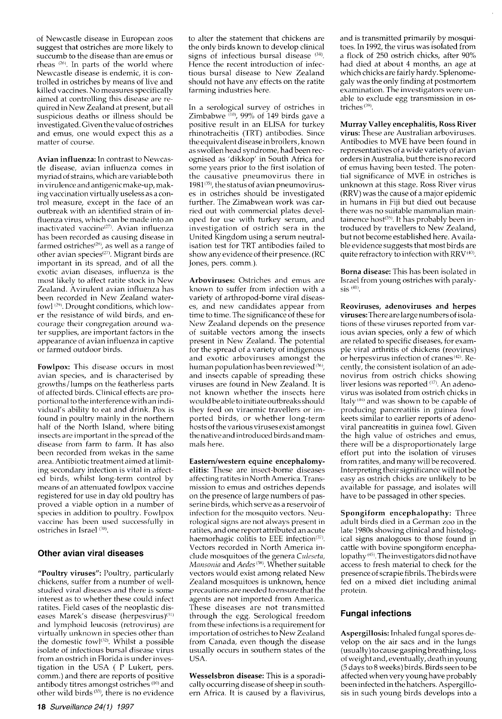of Newcastle disease in European zoos suggest that ostriches are more likely to succumb to the disease than are emus or rheas *(2h).* In parts of the world where Newcastle disease is endemic, it is controlled in ostriches by means of live and killed vaccines. No measures specifically aimed at controlling this disease are required in New Zealand at present, but all suspicious deaths or illness should be investigated. Given the value of ostriches and emus, one would expect this as a matter of course.

**Avian influenza:** In contrast to Newcastle disease, avian influenza comes in myriad of strains, which are variableboth in virulence and antigenic make-up, making vaccination virtually useless as a control measure, except in the face of an outbreak with an identified strain of influenza virus, which can be made into an inactivated vaccine $(27)$ . Avian influenza has been recorded as causing disease in farmed ostriches<sup>(28)</sup>, as well as a range of other avian species<sup> $(27)$ </sup>. Migrant birds are important in its spread, and of all the exotic avian diseases, influenza is the most likely to affect ratite stock in New Zealand. Avirulent avian influenza has been recorded in New Zealand waterfowl (2"). Drought conditions, which lower the resistance of wild birds, and encourage their congregation around water supplies, are important factors in the appearance of avian influenza in captive or farmed outdoor birds.

**Fowlpox:** This disease occurs in most avian species, and is characterised by growths/lumps on the featherless parts of affected birds. Clinical effects are proportional to the interference with an individual's ability to eat and drink. Pox is found in poultry mainly in the northern half of the North Island, where biting insects are important in the spread of the disease from farm to farm. It has also been recorded from wekas in the same area. Antibiotic treatment aimed at limiting secondary infection is vital in affected birds, whilst long-term control by means of an attenuated fowlpox vaccine registered for use in day old poultry has proved a viable option in a number of species in addition to poultry. Fowlpox vaccine has been used successfully in ostriches in Israel<sup>(30)</sup>.

### **Other avian viral diseases**

**"Poultry viruses":** Poultry, particularly chickens, suffer from a number of wellstudied viral diseases and there is some interest as to whether these could infect ratites. Field cases of the neoplastic diseases Marek's disease (herpesvirus)<sup>(31)</sup> and lymphoid leucosis (retrovirus) are virtually unknown in species other than the domestic fowl $(32)$ . Whilst a possible isolate of infectious bursal disease virus from an ostrich in Florida is under investigation in the USA ( P Lukert, pers. comm.) and there are reports of positive antibody titres amongst ostriches (10) and other wild birds<sup> $(33)$ </sup>, there is no evidence

to alter the statement that chickens are the only birds known to develop clinical signs of infectious bursal disease  $(34)$ . Hence the recent introduction of infectious bursal disease to New Zealand should not have any effects on the ratite farming industries here.

In a serological survey of ostriches in Zimbabwe  $(10)$ , 99% of 149 birds gave a positive result in an ELISA for turkey rhinotracheitis (TRT) antibodies. Since the equivalent disease inbroilers, known as swollen head syndrome, had been recognised as 'dikkop' in South Africa for some years prior to the first isolation of the causative pneumovirus there in  $1981^{(35)}$ , the status of avian pneumoviruses in ostriches should be investigated further. The Zimabwean work was carried out with commercial plates developed for use with turkey serum, and investigation of ostrich sera in the United Kingdom using a serum neutralisation test for TRT antibodies failed to show any evidence of their presence. (RC Jones, pers. comm.).

**Arboviruses:** Ostriches and emus are known to suffer from infection with a variety of arthropod-borne viral diseases, and new candidates appear from time to time. The significance of these for New Zealand depends on the presence of suitable vectors among the insects present in New Zealand. The potential for the spread of a variety of indigenous and exotic arboviruses amongst the human population has been reviewed'3h', and insects capable of spreading these viruses are found in New Zealand. It is not known whether the insects here would be able to initiate outbreaks should they feed on viraemic travellers or imported birds, or whether long-term hosts of the various viruses exist amongst the native and introduced birds and mammals here.

Eastern/western equine encephalomy**elitis:** These are insect-borne diseases affecting ratites in North America. Transmission to emus and ostriches depends on the presence of large numbers of passerine birds, which serve as a reservoir of infection for the mosquito vectors. Neurological signs are not always present in ratites, and one report attributed anacute haemorhagic colitis to EEE infection<sup>(37)</sup>. Vectors recorded in North America include mosquitoes of the genera *Culeseta, Mansonia* and *Aedes*<sup>(38)</sup>. Whether suitable vectors would exist among related New Zealand mosquitoes is unknown, hence precautions are needed to ensure that the agents are not imported from America. These diseases are not transmitted through the egg. Serological freedom from these infections is a requirement for importation of ostriches to New Zealand from Canada, even though the disease usually occurs in southern states of the USA.

**Wesselsbron disease:** This is a sporadically occurring disease of sheep in southern Africa. It is caused by a flavivirus, and is transmitted primarily by mosquitoes. In 1992, the virus was isolated from a flock of 250 ostrich chicks, after 90% had died at about 4 months, an age at which chicks are fairly hardy. Splenomegaly was the only finding at postmortem examination. The investigators were unable to exclude egg transmission in ostriches<sup>(39)</sup>.

**Murray Valley encephalitis, Ross River virus:** These are Australian arboviruses. Antibodies to MVE have been found in representatives of a wide variety of avian orders in Australia, but there is no record of emus having been tested. The potential significance of MVE in ostriches is unknown at this stage. Ross River virus (RRV) was the cause of a major epidemic in humans in Fiji but died out because there was no suitable mammalian maintainence host<sup>(35)</sup>. It has probably been introduced by travellers to New Zealand, but not become established here. Available evidence suggests that most birds are quite refractory to infection with RRV $(40)$ .

**Borna disease:** This has been isolated in Israel from young ostriches with paralysis (41).

**Reoviruses, adenoviruses and herpes viruses:** There are large numbers of isolations of these viruses reported from various avian species, only a few of which are related to specific diseases, for example viral arthritis of chickens (reovirus) or herpesvirus infection of cranes<sup>(42)</sup>. Recently, the consistent isolation of an adenovirus from ostrich chicks showing liver lesions was reported  $(17)$ . An adenovirus was isolated from ostrich chicks in Italy<sup>(44)</sup> and was shown to be capable of producing pancreatitis in guinea fowl keets similar to earlier reports of adenoviral pancreatitis in guinea fowl. Given the high value of ostriches and emus, there will be a disproportionately large effort put into the isolation of viruses from ratites, and many will be recovered. Interpreting their significance will not be easy as ostrich chicks are unlikely to be available for passage, and isolates will have to be passaged in other species.

**Spongiform encephalopathy:** Three adult birds died in a German *zoo* in the late 1980s showing clinical and histological signs analogous to those found in cattle with bovine spongiform encephalopathy<sup>(45)</sup>. The investigators did not have access to fresh material to check for the presence of scrapie fibrils. The birds were fed on a mixed diet including animal protein.

# **Fungal infections**

**Aspergillosis:** Inhaled fungal spores develop on the air sacs and in the lungs (usually) to cause gasping breathing, loss of weight and, eventually, death in young (5 days to 8 weeks) birds. Birds seen to be affected when very young have probably been infected in the hatchers. Aspergillosis in such young birds develops into a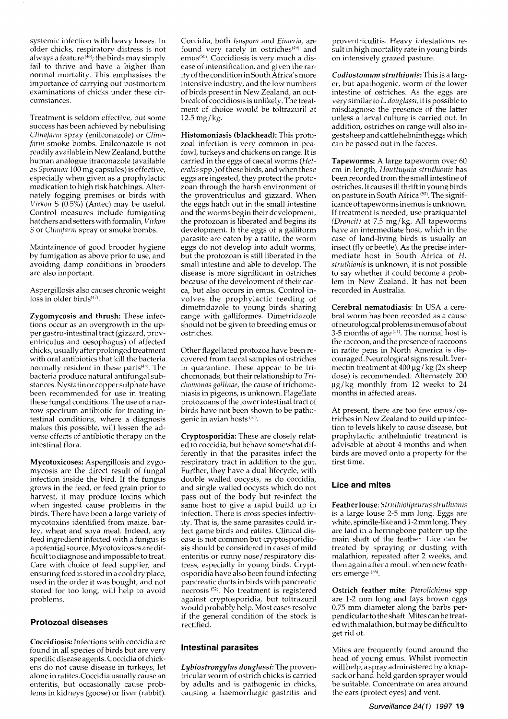systemic infection with heavy losses. In older chicks, respiratory distress is not always a feature(46); the birds may simply fail to thrive and have a higher than normal mortality. This emphasises the importance of carrying out postmortem examinations of chicks under these circumstances.

Treatment is seldom effective, but some success has been achieved by nebulising *Clinafarni* spray (enilconazole) or *Clinnfarm* smoke bombs. Enilconazole is not readilyavailablein New Zealand, butthe human analogue itraconazole (available as *Sporanox* 100 mg capsules) is effective, especially when given as a prophylactic medication to high risk hatchings. Alternately fogging premises or birds with *Virkon S* (0.5%) (Antec) may be useful. Control measures include fumigating hatchers and setters with formalin, *Virkon*  S or Clinafarm spray or smoke bombs.

Maintainence of good brooder hygiene by fumigation as above prior to use, and avoiding damp conditions in brooders are also important.

Aspergillosis also causes chronic weight loss in older birds<sup>(47)</sup>.

Zygomycosis and thrush: These infections occur as an overgrowth in the upper gastro-intestinal tract (gizzard, proventriculus and oesophagus) of affected chicks, usually after prolonged treatment with oral antibiotics that kill the bacteria normally resident in these parts $(48)$ . The bacteria produce natural antifungal substances. Nystatinor copper sulphate have been recommended for use in treating these fungal conditions. The use of a narrow spectrum antibiotic for treating intestinal conditions, where a diagnosis makes this possible, will lessen the adverse effects of antibiotic therapy on the intestinal flora.

Mycotoxicoses: Aspergillosis and zygomycosis are the direct result of fungal infection inside the bird. If the fungus grows in the feed, or feed grain prior to harvest, it may produce toxins which when ingested cause problems in the birds. There have been a large variety of mycotoxins identified from maize, barley, wheat and soya meal. Indeed, any feed ingredient infected with a fungus is a potential source. Mycotoxicoses are difficult to diagnose and impossible to treat. Care with choice of feed supplier, and ensuring feed is stored in a cool dry place, used in the order it was bought, and not stored for too long, will help to avoid problems.

## **Protozoal diseases**

Coccidiosis: Infections with coccidia are found in all species of birds but are very specific disease agents. Coccidia of chickens do not cause disease in turkeys, let alone in ratites.Coccidia usually cause an enteritis, but occasionally cause problems in kidneys (goose) or liver (rabbit). Coccidia, both *Isospora* and *Eimeria,* are found very rarely in ostriches $(49)$  and emus<sup>(50)</sup>. Coccidiosis is very much a disease of intensification, and given the rarity of the condition in South Africa's more intensive industry, and the low numbers of birds present in New Zealand, an outbreak of coccidiosis is unlikely. The treatment of choice would be toltrazuril at 12.5 mg/kg.

Histomoniasis (blackhead): This protozoal infection is very common in peafowl, turkeys and chickens on range. It is carried in the eggs of caecal worms *(Heterakis* spp.) of these birds, and when these eggs are ingested, they protect the protozoan through the harsh environment of the proventriculus and gizzard. When the eggs hatch out in the small intestine and the worms begin their development, the protozoan is liberated and begins its development. If the eggs of a galliform parasite are eaten by a ratite, the worm eggs do not develop into adult worms, but the protozoan is still liberated in the small intestine and able to develop. The disease is more significant in ostriches because of the development of their caeca, but also occurs in emus. Control involves the prophylactic feeding of dimetridazole to young birds sharing range with galliformes. Dimetridazole should not be given to breeding emus or ostriches.

Other flagellated protozoa have been recovered from faecal samples of ostriches in quarantine. These appear to be trichomonads, but their relationship to *Trickonionas gallinae,* the cause of trichomoniasis in pigeons, is unknown. Flagellate protozoans of the lower intestinal tract of birds have not been shown to be pathogenic in avian hosts<sup>(51)</sup>.

Cryptosporidia: These are closely related to coccidia, but behave somewhat differently in that the parasites infect the respiratory tract in addition to the gut. Further, they have a dual lifecycle, with double walled oocysts, as do coccidia, and single walled oocysts which do not pass out of the body but re-infect the same host to give a rapid build up in infection. There is cross species infectivity. That is, the same parasites could infect game birds and ratites. Clinical disease is not common but cryptosporidiosis should be considered in cases of mild enteritis or runny nose/respiratory distress, especially in young birds. Cryptosporidia have also been found infecting pancreatic ducts in birds with pancreatic necrosis<sup>(52)</sup>. No treatment is registered against cryptosporidia, but toltrazuril would probably help. Most cases resolve if the general condition of the stock is rectified.

## **Intestinal parasites**

*Lybiostrongylus douglassi:* The proventricular worm of ostrich chicks is carried by adults and is pathogenic in chicks, causing a haemorrhagic gastritis and proventriculitis. Heavy infestations result in high mortality rate in young birds on intensively grazed pasture.

*Codiostomum struthionis:* This is a larger, but apathogenic, worm of the lower intestine of ostriches. As the eggs are very similar to *L. douglassi,* it is possible to misdiagnose the presence of the latter unless a larval culture is carried out. In addition, ostriches on range will also ingestsheep and cattlehelmintheggs which can be passed out in the faeces.

Tapeworms: **A** large tapeworm over 60 cm in length, *Houttuynia struthionis* has been recorded from the small intestine of ostriches. It causes ill thrift in youngbirds on pasture in South Africa<sup>(53)</sup>. The significance of tapewormsinemusis unknown. If treatment is needed, use praziquantel *(Droncit)* at 7.5 mg/kg. All tapeworms have an intermediate host, which in the case of land-living birds is usually an insect (fly or beetle). As the precise intermediate host in South Africa of *H. struthionis* is unknown, it is not possible to say whether it could become a problem in New Zealand. It has not been recorded in Australia.

Cerebral nematodiasis: In USA a cerebral worm has been recorded as a cause of neurological problems in emus of about 3-5 months of age<sup> $(54)$ </sup>. The normal host is the raccoon, and the presence of raccoons in ratite pens in North America is discouraged. Neurological signs result. Ivermectin treatment at  $400 \mu$ g/kg (2x sheep dose) is recommended. Alternately 200  $\mu$ g/kg monthly from 12 weeks to 24 months in affected areas.

At present, there are too few emus/ostriches in New Zealand to build up infection to levels likely to cause disease, but prophylactic anthelmintic treatment is advisable at about 4 months and when birds are moved onto a property for the first time.

## **Lice and mites**

Feather louse: *Strutkiolipeurus struthionis*  is a large louse 2-5 mm long. Eggs are white, spindle-like and 1 -2mmlong. They are laid in a herringbone pattern up the main shaft of the feather. Lice can be treated by spraying or dusting with malathion, repeated after 2 weeks, and then again after a moult when new feathers emerge (5h).

Ostrich feather mite: *Pterolichinus* spp are 1-2 mm long and lays brown eggs 0.75 mm diameter along the barbs perpendicular to the shaft. Mites can be treated withmalathion, but maybe difficult to get rid of.

Mites are frequently found around the head of young emus. Whilst ivomectin will help, a spray administered by a knapsack or hand-held garden sprayer would be suitable. Concentrate on area around the ears (protect eyes) and vent.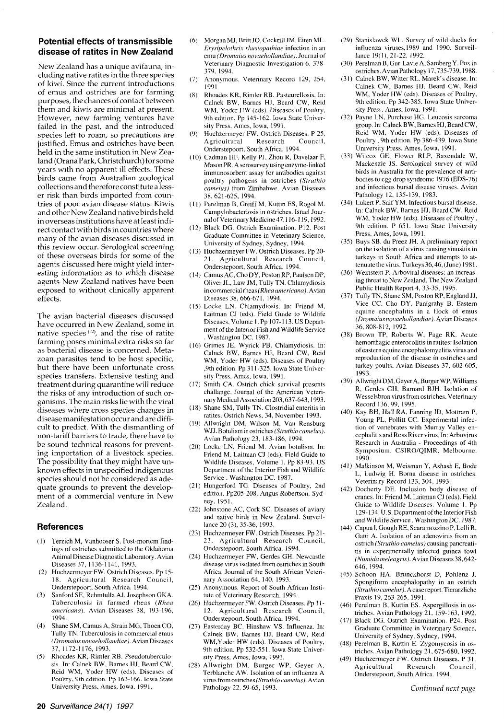## **Potential effects of transmissible disease of ratites in New Zealand**

New Zealand has a unique avifauna, including native ratites in the three species of kiwi. Since the current introductions of emus and ostriches are for farming purposes, the chances of contact between them and kiwis are minimal at present. However, new farming ventures have failed in the past, and the introduced species left to roam, *so* precautions are justified. Emus and ostriches have been held in the same institution in New Zealand (Orana Park, Christchurch) for some years with no apparent ill effects. These birds came from Australian zoological collections and therefore constitute a lesser risk than birds imported from countries of poor avian disease status. Kiwis and other New Zealand native birds held in overseas institutions have at least indirect contact with birds in countries where many of the avian diseases discussed in this review occur. Serological screening of these overseas birds for some of the agents discussed here might yield interesting information as to which disease agents New Zealand natives have been exposed to without clinically apparent effects.

The avian bacterial diseases discussed have occurred in New Zealand, some in native species (22), and the rise of ratite farming poses minimal extra risks so far as bacterial disease is concerned. Metazoan parasites tend to be host specific, but there have been unfortunate cross species transfers. Extensive testing and treatment during quarantine will reduce the risks of any introduction of such organisms. The main risks lie with the viral diseases where cross species changes in disease manifestation occur and are difficult to predict. With the dismantling of non-tariff barriers to trade, there have to be sound technical reasons for preventing importation of a livestock species. The possibility that they might have unknown effects in unspecified indigenous species should not be considered as adequate grounds to prevent the development of a commercial venture in New Zealand.

## **References**

- (I) Terzich M, Vanhooser S. Post-mortem findings of ostriches submitted to the Oklahoma Animal Disease Diagnostic Laboratory. Avian Diseases 37, 1136-1 141, 1993.
- (2) Huchzermeyer FW. Ostrich Diseases. Pp **15-**  18. Agricultural Research Council, Onderstepoort, South Africa. 1994.
- Sanford SE, Rehmtulla AJ, Josephson GKA. Tuberculosis in farmed rheas *(Rhea americana).* Avian Diseases 38, 193.196, 1994. (3)
- Shane **SM,** Camus A, Strain MG, Thoen CO, Tully TN. Tuberculosis in commercial emus *(Dromaius novaehollmdiae).* Avian Diseases (4) 37, 1172-1176, 1993.
- Rhoades KR, Rimler RB. Pseudotuberculo-*(5)*  sis. In: Calnek BW, Barnes HJ, Beard CW, Reid WM, Yoder HW (eds). Diseases of Poultry, 9th edition. **Pp** 163-166. Iowa State University Press, Ames, Iowa, 1991.
- (6) Morgan MJ, Britt JO, Cockrill JM, Eiten ML. *Erysipelothrix rhusiopathiae* infection in an emu *(Dromaius novuehollandiae).* Journal of Veterinary Diagnostic Investigation 6, 378- 379, 1994.
- Anonymous. Veterinary Record 129, 254, (7) 1991
- Rhoades KR, Rimler RB. Pasteurellosis. In: Calnek BW, Barnes HJ, Beard CW, Reid WM. Yoder HW (eds). Diseases of Poultry, 9th edition. Pp 145.162. Iowa State University Press. Ames, Iowa, 1991. **(8)**
- Huchzermeyer FW. Ostrich Diseases. P 25.<br>Agricultural Research Council, Agricultural Onderstepoort, South Africa. 1994. (9)
- (10) Cadman HF, Kelly PJ, Zhou R, Davelaar F, Mason PR. A serosurvey wing enzyme-linked immunosorbent assay for antibodies against poultry pathogens in ostriches *(Struthio camelus)* from Zimbabwe. Avian Diseases 38,621-625, 1994.
- 11) Perelman **B,** Greiff M, Kuttin ES, Rogol M. Campylobacteriosis in ostriches. Israel Jour**ndlofVeterinaryMedicine47,116-119,1992.**
- 12) Black DG. Ostrich Examination. P12. Post Graduate Committee in Veterinary Science, University of Sydney, Sydney, 1994.
- 13) Huchzermeyer FW. Ostrich Diseases. Pp 20- 21. Agricultural Research Council, Onderstepoort, South Africa. 1994.
- (14) Camus AC, Cho DY, Poston RP, Paulsen DP, Oliver JL, Law JM, Tully TN. Chlamydiosis in commercial rheas *(Rhea americana).* Avian Diseases 38, 666-671, 1994.
- **(15)** Locke LN. Chlamydiosis. In: Friend M, Laitman CJ (eds). Field Guide to Wildlife Diseases, Volume I. Pp 107.1 13. US Deparment of the Interior Fish and Wildlife Service . Washington DC. 1987.
- (16) Grimes JE, Wyrick PB. Chlamydiosis. In: Calnek BW, Barnes HJ, Beard CW, Reid WM, Yoder HW (eds). Diseases of Poultry ,9th edition. Pp 31 1-325. Iowa State University Press, Ames, Iowa, 1991.
- 17) Smith CA. Ostrich chick survival presents challange. Journal of the American Veterinary Medical **Association203,637-643,1993.**
- 18) Shane SM, Tully TN. Clostridial enteritis in ratites. Ostrich News, 34, November 1993.
- **19)** Allwright DM, Wilson M, Van Rensburg WJJ. Botulism in ostriches *(Struthio camelus)*. Avian Pathology 23, 183.186, 1994.
- (20) Locke LN, Friend M. Avian botulism. In: Friend M, Laitman CJ (eds). Field Guide to Wildlife Diseases, Volume **1.** Pp 83-93. US Department of the Interior Fish and Wildlife Service. Washington DC. 1987.
- (21) Hungerford TG. Diseases of Poultry, 2nd edition. Pp205-208. Angus Robertson. Sydney, 1951.
- (22) Johnstone AC, Cork SC. Diseases of aviary and native birds in New Zealand. Surveillance 20 (3), 35-36, **1993.**
- (23) Huchzermeyer **FW.** [Ostrich Diseases. Pp 21-](#page-5-0) 23. Agricultural Research Council, Onderstepoort, South Africa. 1994.
- (24) Huchzermeyer FW, Gerdes GH. Newcastle disease virus isolated from ostriches in South Africa. Journal of the South African Veterinary Association 64, 140, 1993.
- (25) Anonymous. Report of South African Institute of Veterinary Research, 1994.
- (26) Huchzermeyer FW. Ostrich Diseases. Pp I **1-**  12. Agricultural Research Council, Onderstepoort, South Africa. 1994.
- (27) Easterday BC, Hinshaw VS. Influenza. In: Calnek BW, Barnes HJ, Beard CW, Reid WM,Yoder HW (eds). Diseases of Poultry, 9th edition. Pp 532-551. Iowa State University Press, Ames, Iowa, 1991.
- (28) Allwright DM, Burger WP, Geyer A, Terblanche AW. Isolation of an influenza **A**  virus from ostriches *(Struthio camelus)*. Avian Pathology 22, 59-65, 1993.
- (29) Stanislawek WL. Survey of wild ducks for influenza viruses,l989 and 1990. Surveil[lance 19\(l\), 21-22,](#page-5-0) 1992.
- (30) Perelman B, Gur-Lavie A, Samberg Y. Pox in ostriches. AvianPathology 17,735-739,1988.
- (31) Calnek BW, Witter RL. Marek's disease. In: Calnek CW, Barnes HJ, Beard CW, Reid WM, Yoder HW (eds). Diseases of Poultry, 9th edition. Pp 342-385. Iowa State University Press, Ames, Iowa, 1991.
- (32) Payne LN, Purchase HG. Leucosis sarcoma group. In: Calnek BW, Barnes HJ, Beard CW, Reid WM, Yoder HW (eds). Diseases of Poultry ,9th edition. Pp 386-439. Iowa State University Press, Ames, Iowa, 1991.
- (33) Wilcox GE, Flower RLP, Baxendale W, Mackenzie JS. Serological survey of wild birds in Australia for the prevalence of antibodies to egg drop syndrome 1976 (EDS-76) and infectious bursal disease viruses. Avian Pathology 12, 135.139, 1983.
- (34) Lukert **P.** Saif YM. Infectious bursal disease. In: Calnek BW, Barnes HJ, Beard CW, Reid WM, Yoder HW (eds). Diseases of Poultry, 9th edition. P 651. Iowa State University Press, Ames, Iowa, 1991.
- (35) Buys SB, du Preez JH. A preliminary report on the isolation of a virus causing sinusitis in turkeys in South Africa and attempts to attenuate the virus. Turkeys 36, 46, (June) 1981.
- (36) Weinstein **P.** Arboviral diseases: an increasing threat to New Zealand. The New Zealand Public Health Report 4, 33-35, 1995.
- (37) Tully TN, Shane SM, Poston RP, England JJ, Vice **CC,** Cho DY, Panigrahy B. Eastern equine encephalitis in a flock of emus *(Dromaius novaehollandiae).* Avian Diseases 36, 808.812, 1992.
- (38) Brown TP, Roberts W, Page RK. Acute hemorrhagic enterocolitis in ratites: Isolation of eastern equine encephalomyelitis virus and reproduction of the disease in ostriches and turkey poults. Avian Diseases 37, 602-605, 1993.
- (39) Allwright **DM.** GeyerA, BurgerWP, Williams R, Gerdes GH, Barnard BJH. Isolation of Wesselsbron virus from ostriches. Veterinary Record 136,99, 1995.
- (40) Kay BH, Hall RA, Fanning ID, Mottram P, Young PL, Pollitt CC. Experimental infection of vertebrates with Murray Valley encephalitis andRoss River virus. In: Arbovirus Research in Australia - Proceedings of 4th Symposium. CSIRO/QIMR. Melbourne. 1990.
- (41) Malkinson **M,** Weisman *Y,* Ashash **E,** Bode L, Ludwig H. Borna disease in ostriches. Veterinary Record 133, 304, 1993.
- (42) Docherty DE. Inclusion body disease of cranes. In: Friend M, Laitman CJ (eds). Field Guide to Wildlife Diseases. Volume 1. Pp 129- 134. U.S. Department **of** the Interior Fish and Wildlife Service. Washington DC. 1987.
- (44) Capua **I,** Gough RE, Scaramozzino P, Lelli R, Gatti A. Isolation of an adenovirus from an ostrich *(Strurhio camelus)* causing pancreatitis in experimentally infected guinea fowl *(Numida meleagris).* Avian Diseases 38, 642-646, 1994.
- (45) Schoon HA, Brunckhorst D, Pohlenz **J.**  Spongiform encephalopathy in an ostrich *(Struthio camelus).* A case report. Tierarzliche Praxis 19,263-265, 1991.
- (46) Perelman B, Kuttin ES. Aspergillosis in os[triches. Avian Pathology 21,](#page-5-0) 159-163, 1992.
- (47) Black DG. Ostrich Examination. P24. Post Graduate Committee in Veterinary Science, University of Sydney, Sydney, 1994.
- (48) Perelman B, Kuttin E. Zygomycosis in ostriches. Avian Pathology 21,675-680, 1992.
- (49) Huchzermeyer FW. Ostrich Diseases. P **3** 1. Agricultural Research Council, Onderstepoort, South Africa. 1994.